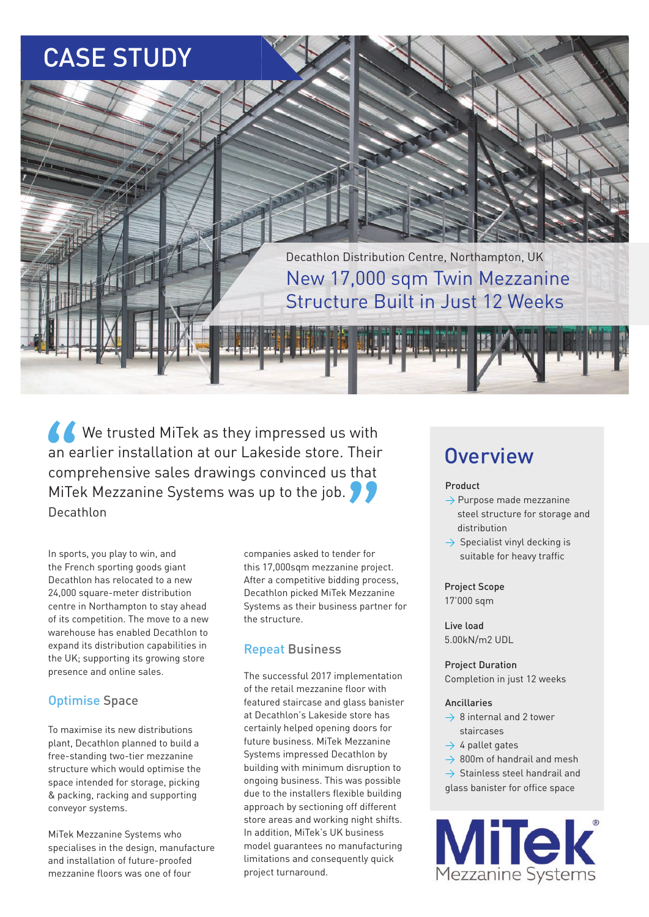# CASE STUDY



K We trusted MiTek as they impressed us with an earlier installation at our Lakeside store. Their comprehensive sales drawings convinced us that MiTek Mezzanine Systems was up to the job. Decathlon

In sports, you play to win, and the French sporting goods giant Decathlon has relocated to a new 24,000 square-meter distribution centre in Northampton to stay ahead of its competition. The move to a new warehouse has enabled Decathlon to expand its distribution capabilities in the UK; supporting its growing store presence and online sales.

### Optimise Space

To maximise its new distributions plant, Decathlon planned to build a free-standing two-tier mezzanine structure which would optimise the space intended for storage, picking & packing, racking and supporting conveyor systems.

MiTek Mezzanine Systems who specialises in the design, manufacture and installation of future-proofed mezzanine floors was one of four

companies asked to tender for this 17,000sqm mezzanine project. After a competitive bidding process, Decathlon picked MiTek Mezzanine Systems as their business partner for the structure.

### Repeat Business

The successful 2017 implementation of the retail mezzanine floor with featured staircase and glass banister at Decathlon's Lakeside store has certainly helped opening doors for future business. MiTek Mezzanine Systems impressed Decathlon by building with minimum disruption to ongoing business. This was possible due to the installers flexible building approach by sectioning off different store areas and working night shifts. In addition, MiTek's UK business model guarantees no manufacturing limitations and consequently quick project turnaround.

## **Overview**

#### Product

- $\rightarrow$  Purpose made mezzanine steel structure for storage and distribution
- $\rightarrow$  Specialist vinyl decking is suitable for heavy traffic

### Project Scope

17'000 sqm

Live load 5.00kN/m2 UDL

Project Duration Completion in just 12 weeks

#### Ancillaries

- $\rightarrow$  8 internal and 2 tower staircases
- $\rightarrow$  4 pallet gates
- $\rightarrow$  800m of handrail and mesh

 $\rightarrow$  Stainless steel handrail and glass banister for office space